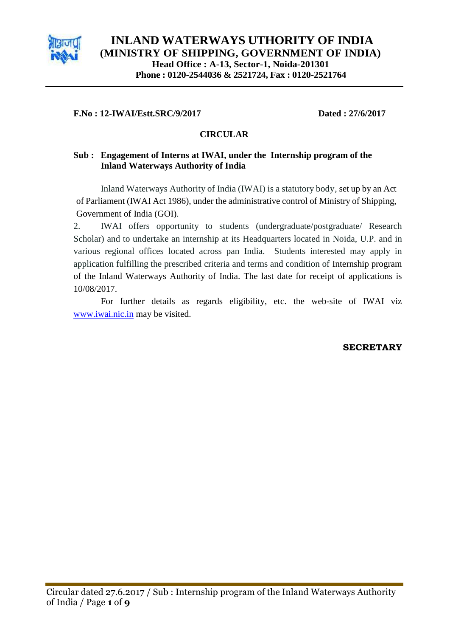

## **F.No : 12-IWAI/Estt.SRC/9/2017 Dated : 27/6/2017**

## **CIRCULAR**

# **Sub : Engagement of Interns at IWAI, under the Internship program of the Inland Waterways Authority of India**

Inland Waterways Authority of India (IWAI) is a statutory body, set up by an Act of Parliament (IWAI Act 1986), under the administrative control of Ministry of Shipping, Government of India (GOI).

2. IWAI offers opportunity to students (undergraduate/postgraduate/ Research Scholar) and to undertake an internship at its Headquarters located in Noida, U.P. and in various regional offices located across pan India. Students interested may apply in application fulfilling the prescribed criteria and terms and condition of Internship program of the Inland Waterways Authority of India. The last date for receipt of applications is 10/08/2017.

For further details as regards eligibility, etc. the web-site of IWAI viz [www.iwai.nic.in](http://www.iwai.nic.in/) may be visited.

## **SECRETARY**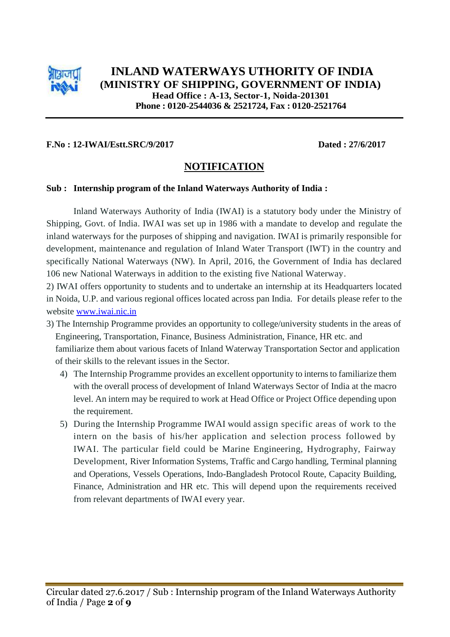

## **F.No : 12-IWAI/Estt.SRC/9/2017 Dated : 27/6/2017**

# **NOTIFICATION**

#### **Sub : Internship program of the Inland Waterways Authority of India :**

Inland Waterways Authority of India (IWAI) is a statutory body under the Ministry of Shipping, Govt. of India. IWAI was set up in 1986 with a mandate to develop and regulate the inland waterways for the purposes of shipping and navigation. IWAI is primarily responsible for development, maintenance and regulation of Inland Water Transport (IWT) in the country and specifically National Waterways (NW). In April, 2016, the Government of India has declared 106 new National Waterways in addition to the existing five National Waterway.

2) IWAI offers opportunity to students and to undertake an internship at its Headquarters located in Noida, U.P. and various regional offices located across pan India. For details please refer to the website [www.iwai.nic.in](http://www.iwai.nic.in/)

- 3) The Internship Programme provides an opportunity to college/university students in the areas of Engineering, Transportation, Finance, Business Administration, Finance, HR etc. and familiarize them about various facets of Inland Waterway Transportation Sector and application of their skills to the relevant issues in the Sector.
	- 4) The Internship Programme provides an excellent opportunity to interns to familiarize them with the overall process of development of Inland Waterways Sector of India at the macro level. An intern may be required to work at Head Office or Project Office depending upon the requirement.
	- 5) During the Internship Programme IWAI would assign specific areas of work to the intern on the basis of his/her application and selection process followed by IWAI. The particular field could be Marine Engineering, Hydrography, Fairway Development, River Information Systems, Traffic and Cargo handling, Terminal planning and Operations, Vessels Operations, Indo-Bangladesh Protocol Route, Capacity Building, Finance, Administration and HR etc. This will depend upon the requirements received from relevant departments of IWAI every year.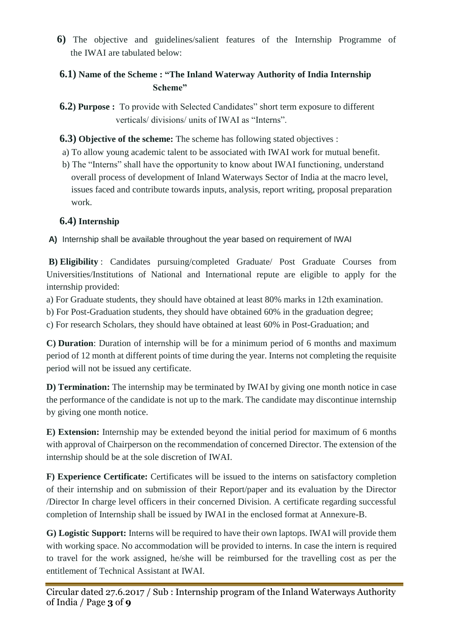**6)** The objective and guidelines/salient features of the Internship Programme of the IWAI are tabulated below:

# **6.1) Name of the Scheme : "The Inland Waterway Authority of India Internship Scheme"**

 **6.2) Purpose :** To provide with Selected Candidates" short term exposure to different verticals/ divisions/ units of IWAI as "Interns".

 **6.3) Objective of the scheme:** The scheme has following stated objectives :

- a) To allow young academic talent to be associated with IWAI work for mutual benefit.
- b) The "Interns" shall have the opportunity to know about IWAI functioning, understand overall process of development of Inland Waterways Sector of India at the macro level, issues faced and contribute towards inputs, analysis, report writing, proposal preparation work.

# **6.4) Internship**

**A)** Internship shall be available throughout the year based on requirement of IWAI

**B) Eligibility** : Candidates pursuing/completed Graduate/ Post Graduate Courses from Universities/Institutions of National and International repute are eligible to apply for the internship provided:

a) For Graduate students, they should have obtained at least 80% marks in 12th examination.

b) For Post-Graduation students, they should have obtained 60% in the graduation degree;

c) For research Scholars, they should have obtained at least 60% in Post-Graduation; and

**C) Duration**: Duration of internship will be for a minimum period of 6 months and maximum period of 12 month at different points of time during the year. Interns not completing the requisite period will not be issued any certificate.

**D) Termination:** The internship may be terminated by IWAI by giving one month notice in case the performance of the candidate is not up to the mark. The candidate may discontinue internship by giving one month notice.

**E) Extension:** Internship may be extended beyond the initial period for maximum of 6 months with approval of Chairperson on the recommendation of concerned Director. The extension of the internship should be at the sole discretion of IWAI.

**F) Experience Certificate:** Certificates will be issued to the interns on satisfactory completion of their internship and on submission of their Report/paper and its evaluation by the Director /Director In charge level officers in their concerned Division. A certificate regarding successful completion of Internship shall be issued by IWAI in the enclosed format at Annexure-B.

**G) Logistic Support:** Interns will be required to have their own laptops. IWAI will provide them with working space. No accommodation will be provided to interns. In case the intern is required to travel for the work assigned, he/she will be reimbursed for the travelling cost as per the entitlement of Technical Assistant at IWAI.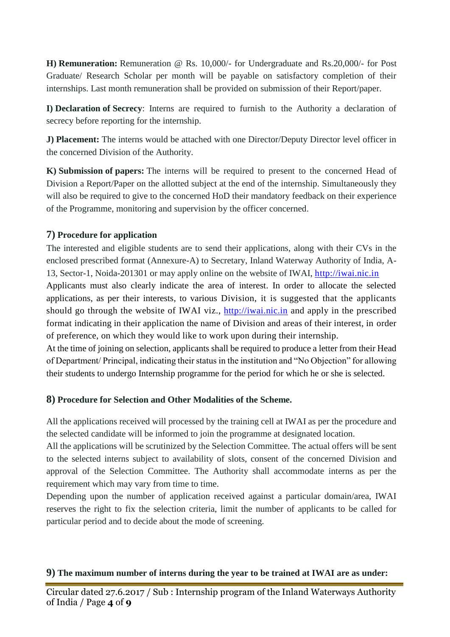**H) Remuneration:** Remuneration @ Rs. 10,000/- for Undergraduate and Rs.20,000/- for Post Graduate/ Research Scholar per month will be payable on satisfactory completion of their internships. Last month remuneration shall be provided on submission of their Report/paper.

**I) Declaration of Secrecy**: Interns are required to furnish to the Authority a declaration of secrecy before reporting for the internship.

**J) Placement:** The interns would be attached with one Director/Deputy Director level officer in the concerned Division of the Authority.

**K) Submission of papers:** The interns will be required to present to the concerned Head of Division a Report/Paper on the allotted subject at the end of the internship. Simultaneously they will also be required to give to the concerned HoD their mandatory feedback on their experience of the Programme, monitoring and supervision by the officer concerned.

# **7) Procedure for application**

The interested and eligible students are to send their applications, along with their CVs in the enclosed prescribed format (Annexure-A) to Secretary, Inland Waterway Authority of India, A-13, Sector-1, Noida-201301 or may apply online on the website of IWAI, [http://iwai.nic.in](http://iwai.nic.in/) Applicants must also clearly indicate the area of interest. In order to allocate the selected applications, as per their interests, to various Division, it is suggested that the applicants should go through the website of IWAI viz., [http://iwai.nic.in](http://iwai.nic.in/) and apply in the prescribed

format indicating in their application the name of Division and areas of their interest, in order of preference, on which they would like to work upon during their internship.

At the time of joining on selection, applicants shall be required to produce a letter from their Head of Department/ Principal, indicating their status in the institution and "No Objection" for allowing their students to undergo Internship programme for the period for which he or she is selected.

# **8) Procedure for Selection and Other Modalities of the Scheme.**

All the applications received will processed by the training cell at IWAI as per the procedure and the selected candidate will be informed to join the programme at designated location.

All the applications will be scrutinized by the Selection Committee. The actual offers will be sent to the selected interns subject to availability of slots, consent of the concerned Division and approval of the Selection Committee. The Authority shall accommodate interns as per the requirement which may vary from time to time.

Depending upon the number of application received against a particular domain/area, IWAI reserves the right to fix the selection criteria, limit the number of applicants to be called for particular period and to decide about the mode of screening.

# **9) The maximum number of interns during the year to be trained at IWAI are as under:**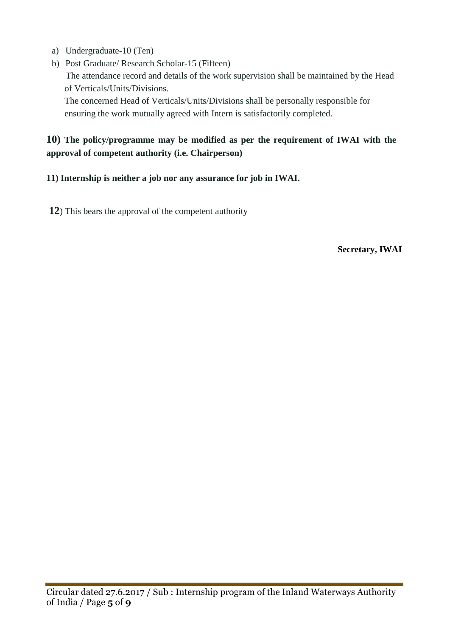- a) Undergraduate-10 (Ten)
- b) Post Graduate/ Research Scholar-15 (Fifteen) The attendance record and details of the work supervision shall be maintained by the Head of Verticals/Units/Divisions.

 The concerned Head of Verticals/Units/Divisions shall be personally responsible for ensuring the work mutually agreed with Intern is satisfactorily completed.

# **10) The policy/programme may be modified as per the requirement of IWAI with the approval of competent authority (i.e. Chairperson)**

# **11) Internship is neither a job nor any assurance for job in IWAI.**

**12**) This bears the approval of the competent authority

**Secretary, IWAI**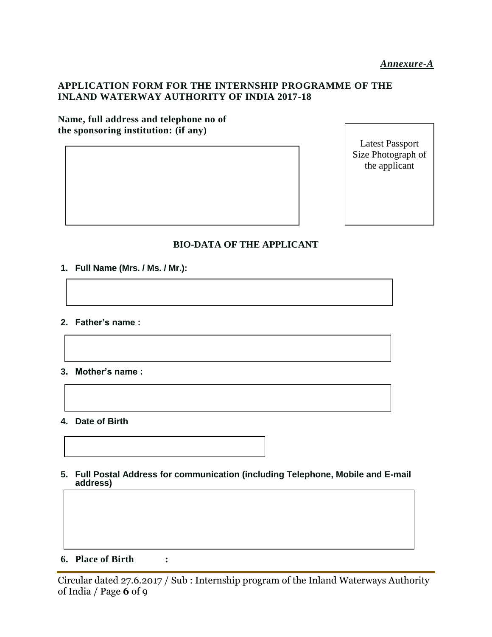## **APPLICATION FORM FOR THE INTERNSHIP PROGRAMME OF THE INLAND WATERWAY AUTHORITY OF INDIA 2017-18**

#### **Name, full address and telephone no of the sponsoring institution: (if any)**

Latest Passport Size Photograph of the applicant

## **BIO-DATA OF THE APPLICANT**

- **1. Full Name (Mrs. / Ms. / Mr.):**
- **2. Father's name :**
- **3. Mother's name :**
- **4. Date of Birth**
- **5. Full Postal Address for communication (including Telephone, Mobile and E-mail address)**

**6. Place of Birth :**

Circular dated 27.6.2017 / Sub : Internship program of the Inland Waterways Authority of India / Page **6** of 9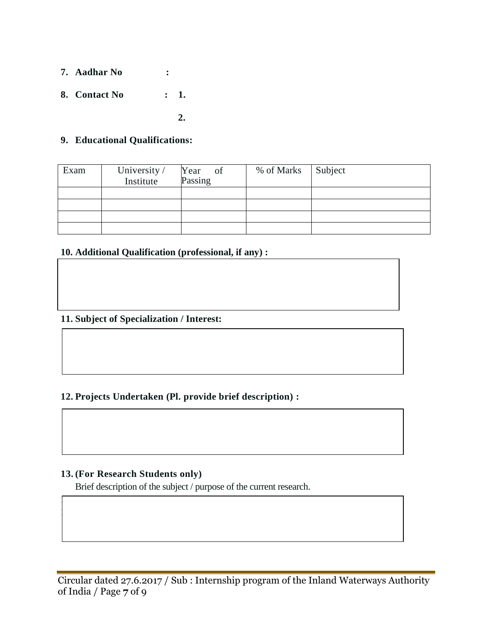- **7. Aadhar No :**
- **8. Contact No : 1.**

 $\sim$  2.

### **9. Educational Qualifications:**

| Exam | University /<br>Institute | Year of<br>Passing | % of Marks | Subject |
|------|---------------------------|--------------------|------------|---------|
|      |                           |                    |            |         |
|      |                           |                    |            |         |
|      |                           |                    |            |         |
|      |                           |                    |            |         |

# **10. Additional Qualification (professional, if any) :**

### **11. Subject of Specialization / Interest:**

## **12. Projects Undertaken (Pl. provide brief description) :**

#### **13. (For Research Students only)**

 $\sqrt{2}$  $\vert$  Brief description of the subject / purpose of the current research.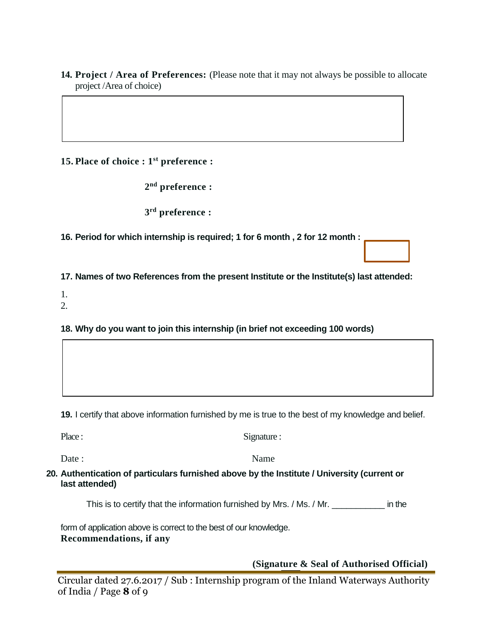**14. Project / Area of Preferences:** (Please note that it may not always be possible to allocate project /Area of choice)

# **15. Place of choice : 1st preference :**

**2 nd preference :**

**3 rd preference :** 

**16. Period for which internship is required; 1 for 6 month , 2 for 12 month :** 

**17. Names of two References from the present Institute or the Institute(s) last attended:**

1.

2.

**18. Why do you want to join this internship (in brief not exceeding 100 words)**

**19.** I certify that above information furnished by me is true to the best of my knowledge and belief.

| Place:                                                                                  | Signature : |
|-----------------------------------------------------------------------------------------|-------------|
| Date :                                                                                  | Name        |
| 0. Authentication of particulars furnished above by the Institute / University (current |             |

**20. Authentication of particulars furnished above by the Institute / University (current or last attended)**

This is to certify that the information furnished by Mrs. / Ms. / Mr. \_\_\_\_\_\_\_\_\_\_\_ in the

form of application above is correct to the best of our knowledge. **Recommendations, if any**

**(Signature & Seal of Authorised Official)**

Circular dated 27.6.2017 / Sub : Internship program of the Inland Waterways Authority of India / Page **8** of 9